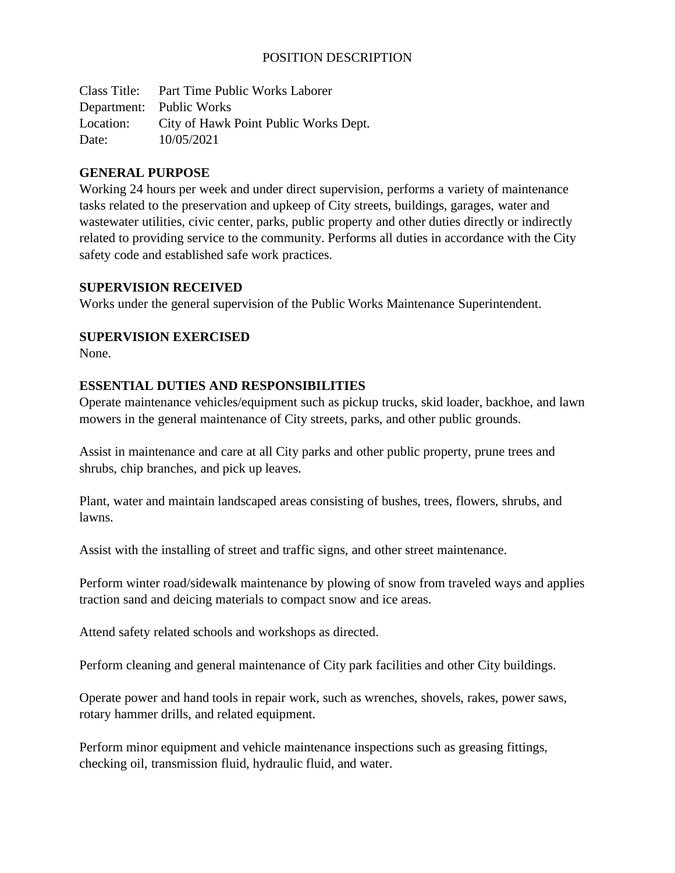### POSITION DESCRIPTION

Class Title: Part Time Public Works Laborer Department: Public Works Location: City of Hawk Point Public Works Dept. Date: 10/05/2021

#### **GENERAL PURPOSE**

Working 24 hours per week and under direct supervision, performs a variety of maintenance tasks related to the preservation and upkeep of City streets, buildings, garages, water and wastewater utilities, civic center, parks, public property and other duties directly or indirectly related to providing service to the community. Performs all duties in accordance with the City safety code and established safe work practices.

#### **SUPERVISION RECEIVED**

Works under the general supervision of the Public Works Maintenance Superintendent.

#### **SUPERVISION EXERCISED**

None.

#### **ESSENTIAL DUTIES AND RESPONSIBILITIES**

Operate maintenance vehicles/equipment such as pickup trucks, skid loader, backhoe, and lawn mowers in the general maintenance of City streets, parks, and other public grounds.

Assist in maintenance and care at all City parks and other public property, prune trees and shrubs, chip branches, and pick up leaves.

Plant, water and maintain landscaped areas consisting of bushes, trees, flowers, shrubs, and lawns.

Assist with the installing of street and traffic signs, and other street maintenance.

Perform winter road/sidewalk maintenance by plowing of snow from traveled ways and applies traction sand and deicing materials to compact snow and ice areas.

Attend safety related schools and workshops as directed.

Perform cleaning and general maintenance of City park facilities and other City buildings.

Operate power and hand tools in repair work, such as wrenches, shovels, rakes, power saws, rotary hammer drills, and related equipment.

Perform minor equipment and vehicle maintenance inspections such as greasing fittings, checking oil, transmission fluid, hydraulic fluid, and water.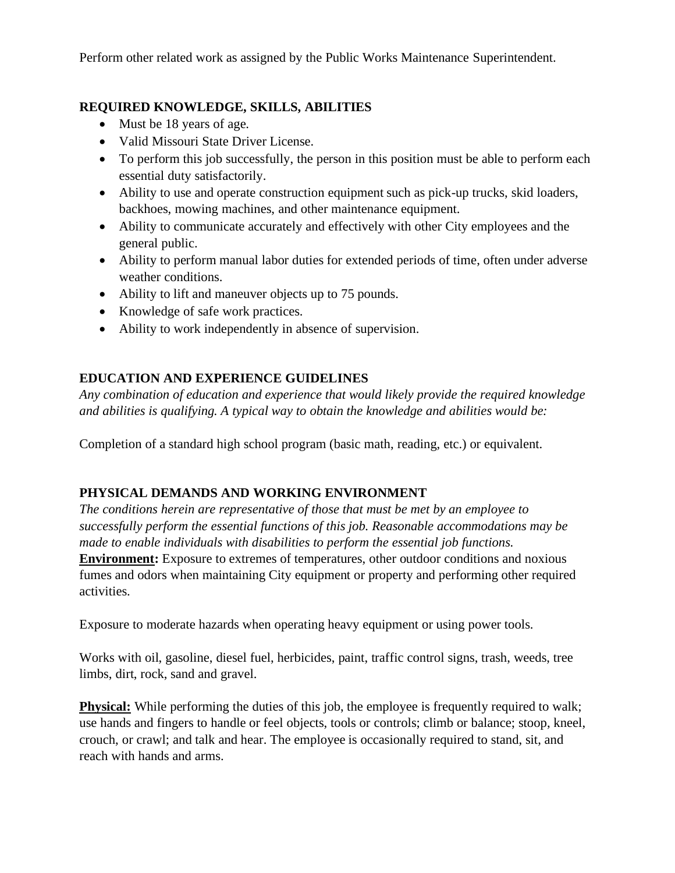Perform other related work as assigned by the Public Works Maintenance Superintendent.

# **REQUIRED KNOWLEDGE, SKILLS, ABILITIES**

- Must be 18 years of age.
- Valid Missouri State Driver License.
- To perform this job successfully, the person in this position must be able to perform each essential duty satisfactorily.
- Ability to use and operate construction equipment such as pick-up trucks, skid loaders, backhoes, mowing machines, and other maintenance equipment.
- Ability to communicate accurately and effectively with other City employees and the general public.
- Ability to perform manual labor duties for extended periods of time, often under adverse weather conditions.
- Ability to lift and maneuver objects up to 75 pounds.
- Knowledge of safe work practices.
- Ability to work independently in absence of supervision.

# **EDUCATION AND EXPERIENCE GUIDELINES**

*Any combination of education and experience that would likely provide the required knowledge and abilities is qualifying. A typical way to obtain the knowledge and abilities would be:*

Completion of a standard high school program (basic math, reading, etc.) or equivalent.

#### **PHYSICAL DEMANDS AND WORKING ENVIRONMENT**

*The conditions herein are representative of those that must be met by an employee to successfully perform the essential functions of this job. Reasonable accommodations may be made to enable individuals with disabilities to perform the essential job functions.* **Environment:** Exposure to extremes of temperatures, other outdoor conditions and noxious fumes and odors when maintaining City equipment or property and performing other required activities.

Exposure to moderate hazards when operating heavy equipment or using power tools.

Works with oil, gasoline, diesel fuel, herbicides, paint, traffic control signs, trash, weeds, tree limbs, dirt, rock, sand and gravel.

**Physical:** While performing the duties of this job, the employee is frequently required to walk; use hands and fingers to handle or feel objects, tools or controls; climb or balance; stoop, kneel, crouch, or crawl; and talk and hear. The employee is occasionally required to stand, sit, and reach with hands and arms.